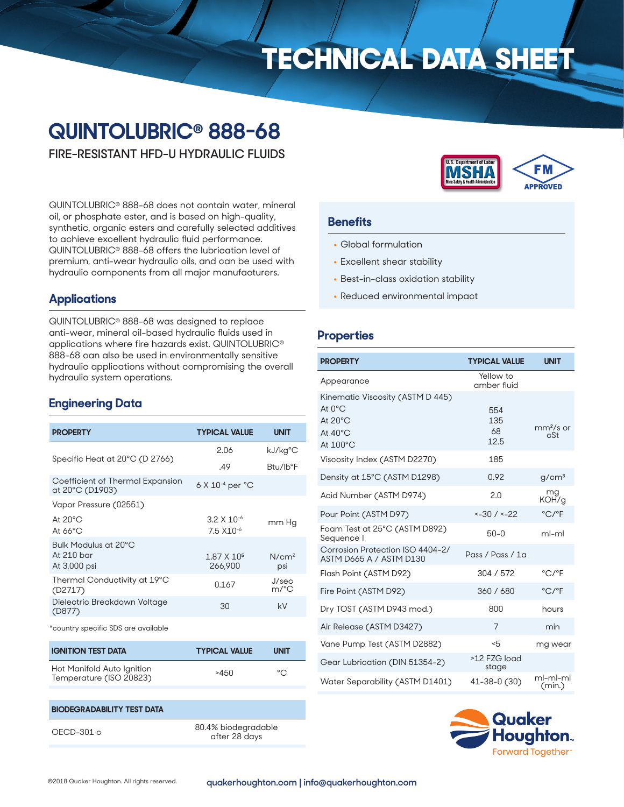# **TECHNICAL DATA SHEET**

# **QUINTOLUBRIC® 888-68**

**FIRE-RESISTANT HFD-U HYDRAULIC FLUIDS**

QUINTOLUBRIC® 888-68 does not contain water, mineral oil, or phosphate ester, and is based on high-quality, synthetic, organic esters and carefully selected additives to achieve excellent hydraulic fluid performance. QUINTOLUBRIC® 888-68 offers the lubrication level of premium, anti-wear hydraulic oils, and can be used with hydraulic components from all major manufacturers.

# **Applications**

QUINTOLUBRIC® 888-68 was designed to replace anti-wear, mineral oil-based hydraulic fluids used in applications where fire hazards exist. QUINTOLUBRIC® 888-68 can also be used in environmentally sensitive hydraulic applications without compromising the overall hydraulic system operations.

# **Engineering Data**

| <b>PROPERTY</b>                                      | <b>TYPICAL VALUE</b>                           | <b>UNIT</b>              |
|------------------------------------------------------|------------------------------------------------|--------------------------|
| Specific Heat at 20°C (D 2766)                       | 2.06                                           | kJ/kg°C                  |
|                                                      | .49                                            | Btu/lb°F                 |
| Coefficient of Thermal Expansion<br>at 20°C (D1903)  | $6$ X $10^{-4}$ per $^{\circ}$ C               |                          |
| Vapor Pressure (02551)                               |                                                |                          |
| At $20^{\circ}$ C<br>At $66^{\circ}$ C               | $3.2 \times 10^{-6}$<br>7.5 X <sub>10</sub> -6 | mm Hg                    |
| Bulk Modulus at 20°C<br>At $210$ bar<br>At 3,000 psi | 1.87 X 10 <sup>5</sup><br>266,900              | N/cm <sup>2</sup><br>psi |
| Thermal Conductivity at 19°C<br>(D2717)              | 0.167                                          | J/sec<br>m/°C            |
| Dielectric Breakdown Voltage<br>(D877)               | 30                                             | kV                       |
|                                                      |                                                |                          |

\*country specific SDS are available

| <b>IGNITION TEST DATA</b>                             | <b>TYPICAL VALUE</b> | <b>UNIT</b> |
|-------------------------------------------------------|----------------------|-------------|
| Hot Manifold Auto Ignition<br>Temperature (ISO 20823) | >450                 | $\circ$     |

# **BIODEGRADABILITY TEST DATA** OECD-301 c 80.4% biodegradable

after 28 days



#### **Benefits**

- Global formulation
- Excellent shear stability
- Best-in-class oxidation stability
- Reduced environmental impact

## **Properties**

| <b>PROPERTY</b>                                                                                                      | <b>TYPICAL VALUE</b>     | <b>UNIT</b>                |
|----------------------------------------------------------------------------------------------------------------------|--------------------------|----------------------------|
| Appearance                                                                                                           | Yellow to<br>amber fluid |                            |
| Kinematic Viscosity (ASTM D 445)<br>At $\Omega$ <sup>°</sup> C<br>At $20^{\circ}$ C<br>At $40^{\circ}$ C<br>At 100°C | 554<br>135<br>68<br>12.5 | $mm2/s$ or<br>cSt          |
| Viscosity Index (ASTM D2270)                                                                                         | 185                      |                            |
| Density at 15°C (ASTM D1298)                                                                                         | 0.92                     | g/cm <sup>3</sup>          |
| Acid Number (ASTM D974)                                                                                              | 2.0                      | mg<br>KOH/g                |
| Pour Point (ASTM D97)                                                                                                | $< -30$ / $< -22$        | $^{\circ}$ C/ $^{\circ}$ F |
| Foam Test at 25°C (ASTM D892)<br>Sequence I                                                                          | $50 - 0$                 | ml-ml                      |
| Corrosion Protection ISO 4404-2/<br>ASTM D665 A / ASTM D130                                                          | Pass / Pass / 1a         |                            |
| Flash Point (ASTM D92)                                                                                               | 304/572                  | °C/°F                      |
| Fire Point (ASTM D92)                                                                                                | 360 / 680                | $^{\circ}$ C/ $^{\circ}$ F |
| Dry TOST (ASTM D943 mod.)                                                                                            | 800                      | hours                      |
| Air Release (ASTM D3427)                                                                                             | $\overline{7}$           | min                        |
| Vane Pump Test (ASTM D2882)                                                                                          | -5                       | mg wear                    |
| Gear Lubrication (DIN 51354-2)                                                                                       | >12 FZG load<br>stage    |                            |
| Water Separability (ASTM D1401)                                                                                      | 41-38-0 (30)             | ml-ml-ml<br>(min.)         |